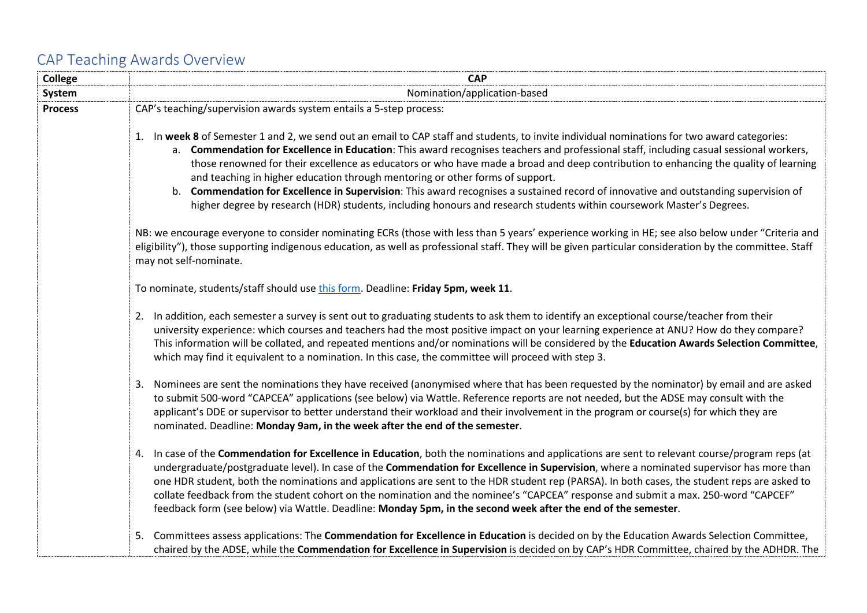## CAP Teaching Awards Overview

| <b>College</b> | <b>CAP</b>                                                                                                                                                                                                                                                                                                                                                                                                                                                                                                                                                                                                                                                                                                                                                                           |
|----------------|--------------------------------------------------------------------------------------------------------------------------------------------------------------------------------------------------------------------------------------------------------------------------------------------------------------------------------------------------------------------------------------------------------------------------------------------------------------------------------------------------------------------------------------------------------------------------------------------------------------------------------------------------------------------------------------------------------------------------------------------------------------------------------------|
| System         | Nomination/application-based                                                                                                                                                                                                                                                                                                                                                                                                                                                                                                                                                                                                                                                                                                                                                         |
| <b>Process</b> | CAP's teaching/supervision awards system entails a 5-step process:                                                                                                                                                                                                                                                                                                                                                                                                                                                                                                                                                                                                                                                                                                                   |
|                | 1. In week 8 of Semester 1 and 2, we send out an email to CAP staff and students, to invite individual nominations for two award categories:<br>a. Commendation for Excellence in Education: This award recognises teachers and professional staff, including casual sessional workers,<br>those renowned for their excellence as educators or who have made a broad and deep contribution to enhancing the quality of learning<br>and teaching in higher education through mentoring or other forms of support.<br>Commendation for Excellence in Supervision: This award recognises a sustained record of innovative and outstanding supervision of<br>b.<br>higher degree by research (HDR) students, including honours and research students within coursework Master's Degrees. |
|                | NB: we encourage everyone to consider nominating ECRs (those with less than 5 years' experience working in HE; see also below under "Criteria and<br>eligibility"), those supporting indigenous education, as well as professional staff. They will be given particular consideration by the committee. Staff<br>may not self-nominate.                                                                                                                                                                                                                                                                                                                                                                                                                                              |
|                | To nominate, students/staff should use this form. Deadline: Friday 5pm, week 11.                                                                                                                                                                                                                                                                                                                                                                                                                                                                                                                                                                                                                                                                                                     |
|                | 2. In addition, each semester a survey is sent out to graduating students to ask them to identify an exceptional course/teacher from their<br>university experience: which courses and teachers had the most positive impact on your learning experience at ANU? How do they compare?<br>This information will be collated, and repeated mentions and/or nominations will be considered by the Education Awards Selection Committee,<br>which may find it equivalent to a nomination. In this case, the committee will proceed with step 3.                                                                                                                                                                                                                                          |
|                | 3. Nominees are sent the nominations they have received (anonymised where that has been requested by the nominator) by email and are asked<br>to submit 500-word "CAPCEA" applications (see below) via Wattle. Reference reports are not needed, but the ADSE may consult with the<br>applicant's DDE or supervisor to better understand their workload and their involvement in the program or course(s) for which they are<br>nominated. Deadline: Monday 9am, in the week after the end of the semester.                                                                                                                                                                                                                                                                          |
|                | 4. In case of the Commendation for Excellence in Education, both the nominations and applications are sent to relevant course/program reps (at<br>undergraduate/postgraduate level). In case of the Commendation for Excellence in Supervision, where a nominated supervisor has more than<br>one HDR student, both the nominations and applications are sent to the HDR student rep (PARSA). In both cases, the student reps are asked to<br>collate feedback from the student cohort on the nomination and the nominee's "CAPCEA" response and submit a max. 250-word "CAPCEF"<br>feedback form (see below) via Wattle. Deadline: Monday 5pm, in the second week after the end of the semester.                                                                                    |
|                | 5. Committees assess applications: The Commendation for Excellence in Education is decided on by the Education Awards Selection Committee,<br>chaired by the ADSE, while the Commendation for Excellence in Supervision is decided on by CAP's HDR Committee, chaired by the ADHDR. The                                                                                                                                                                                                                                                                                                                                                                                                                                                                                              |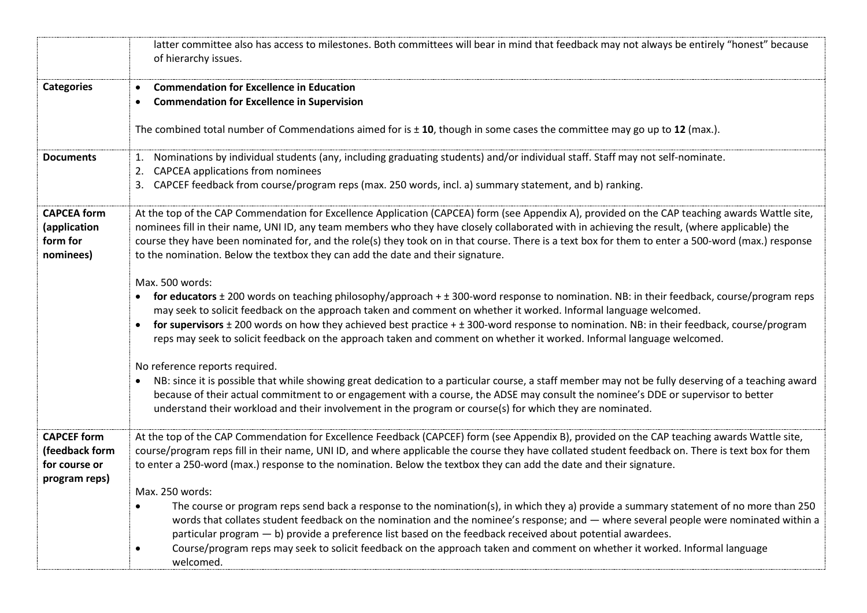|                                                                        | latter committee also has access to milestones. Both committees will bear in mind that feedback may not always be entirely "honest" because<br>of hierarchy issues.                                                                                                                                                                                                                                                                                                                                                                                                                   |
|------------------------------------------------------------------------|---------------------------------------------------------------------------------------------------------------------------------------------------------------------------------------------------------------------------------------------------------------------------------------------------------------------------------------------------------------------------------------------------------------------------------------------------------------------------------------------------------------------------------------------------------------------------------------|
| <b>Categories</b>                                                      | <b>Commendation for Excellence in Education</b><br>$\bullet$<br><b>Commendation for Excellence in Supervision</b><br>$\bullet$<br>The combined total number of Commendations aimed for is $\pm$ 10, though in some cases the committee may go up to 12 (max.).                                                                                                                                                                                                                                                                                                                        |
| <b>Documents</b>                                                       | 1. Nominations by individual students (any, including graduating students) and/or individual staff. Staff may not self-nominate.<br>2. CAPCEA applications from nominees<br>3. CAPCEF feedback from course/program reps (max. 250 words, incl. a) summary statement, and b) ranking.                                                                                                                                                                                                                                                                                                  |
| <b>CAPCEA</b> form<br>(application<br>form for<br>nominees)            | At the top of the CAP Commendation for Excellence Application (CAPCEA) form (see Appendix A), provided on the CAP teaching awards Wattle site,<br>nominees fill in their name, UNI ID, any team members who they have closely collaborated with in achieving the result, (where applicable) the<br>course they have been nominated for, and the role(s) they took on in that course. There is a text box for them to enter a 500-word (max.) response<br>to the nomination. Below the textbox they can add the date and their signature.                                              |
|                                                                        | Max. 500 words:<br>• for educators ± 200 words on teaching philosophy/approach + ± 300-word response to nomination. NB: in their feedback, course/program reps<br>may seek to solicit feedback on the approach taken and comment on whether it worked. Informal language welcomed.<br>for supervisors ± 200 words on how they achieved best practice + ± 300-word response to nomination. NB: in their feedback, course/program<br>reps may seek to solicit feedback on the approach taken and comment on whether it worked. Informal language welcomed.                              |
|                                                                        | No reference reports required.<br>NB: since it is possible that while showing great dedication to a particular course, a staff member may not be fully deserving of a teaching award<br>$\bullet$<br>because of their actual commitment to or engagement with a course, the ADSE may consult the nominee's DDE or supervisor to better<br>understand their workload and their involvement in the program or course(s) for which they are nominated.                                                                                                                                   |
| <b>CAPCEF</b> form<br>(feedback form<br>for course or<br>program reps) | At the top of the CAP Commendation for Excellence Feedback (CAPCEF) form (see Appendix B), provided on the CAP teaching awards Wattle site,<br>course/program reps fill in their name, UNI ID, and where applicable the course they have collated student feedback on. There is text box for them<br>to enter a 250-word (max.) response to the nomination. Below the textbox they can add the date and their signature.                                                                                                                                                              |
|                                                                        | Max. 250 words:<br>The course or program reps send back a response to the nomination(s), in which they a) provide a summary statement of no more than 250<br>$\bullet$<br>words that collates student feedback on the nomination and the nominee's response; and - where several people were nominated within a<br>particular program - b) provide a preference list based on the feedback received about potential awardees.<br>Course/program reps may seek to solicit feedback on the approach taken and comment on whether it worked. Informal language<br>$\bullet$<br>welcomed. |